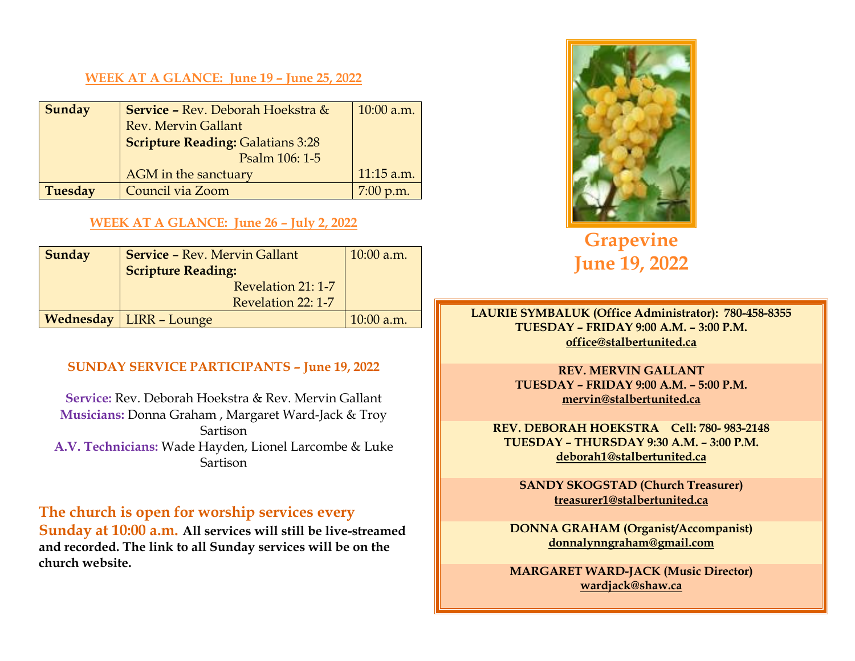#### **WEEK AT A GLANCE: June 19 – June 25, 2022**

| Sunday         | Service - Rev. Deborah Hoekstra &        | $10:00$ a.m. |
|----------------|------------------------------------------|--------------|
|                | <b>Rev. Mervin Gallant</b>               |              |
|                | <b>Scripture Reading: Galatians 3:28</b> |              |
|                | Psalm 106: 1-5                           |              |
|                | <b>AGM</b> in the sanctuary              | $11:15$ a.m. |
| <b>Tuesday</b> | Council via Zoom                         | $7:00$ p.m.  |

#### **WEEK AT A GLANCE: June 26 – July 2, 2022**

| Sunday | <b>Service - Rev. Mervin Gallant</b><br><b>Scripture Reading:</b> | $10:00$ a.m. |
|--------|-------------------------------------------------------------------|--------------|
|        | Revelation 21: 1-7                                                |              |
|        | Revelation 22: 1-7                                                |              |
|        | <b>Wednesday   LIRR - Lounge</b>                                  | $10:00$ a.m. |

#### **SUNDAY SERVICE PARTICIPANTS – June 19, 2022**

**Service:** Rev. Deborah Hoekstra & Rev. Mervin Gallant **Musicians:** Donna Graham , Margaret Ward-Jack & Troy Sartison **A.V. Technicians:** Wade Hayden, Lionel Larcombe & Luke Sartison

### **The church is open for worship services every**

**Sunday at 10:00 a.m. All services will still be live-streamed and recorded. The link to all Sunday services will be on the church website.** 



**Grapevine June 19, 2022** 

**LAURIE SYMBALUK (Office Administrator): 780-458-8355 TUESDAY – FRIDAY 9:00 A.M. – 3:00 P.M. office@stalbertunited.ca** 

> **REV. MERVIN GALLANT TUESDAY – FRIDAY 9:00 A.M. – 5:00 P.M. mervin@stalbertunited.ca**

**REV. DEBORAH HOEKSTRA Cell: 780- 983-2148 TUESDAY – THURSDAY 9:30 A.M. – 3:00 P.M. deborah1@stalbertunited.ca** 

**SANDY SKOGSTAD (Church Treasurer) treasurer1@stalbertunited.ca** 

**DONNA GRAHAM (Organist/Accompanist) donnalynngraham@gmail.com** 

**MARGARET WARD-JACK (Music Director) wardjack@shaw.ca**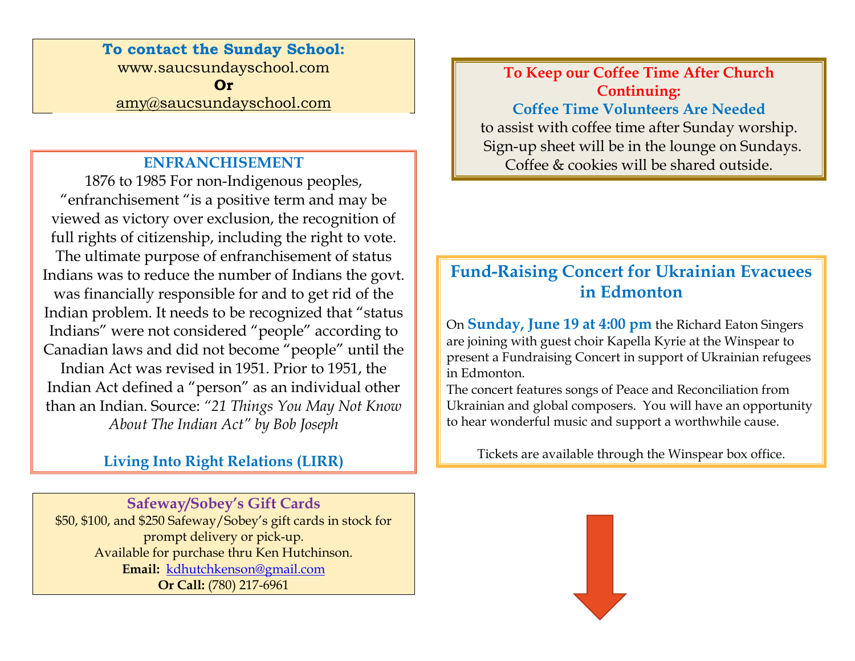**To contact the Sunday School:** www.saucsundayschool.com **Or** amy@saucsundayschool.com

### **ENFRANCHISEMENT**

1876 to 1985 For non-Indigenous peoples, "enfranchisement "is a positive term and may be viewed as victory over exclusion, the recognition of full rights of citizenship, including the right to vote. The ultimate purpose of enfranchisement of status Indians was to reduce the number of Indians the govt. was financially responsible for and to get rid of the Indian problem. It needs to be recognized that "status Indians" were not considered "people" according to Canadian laws and did not become "people" until theIndian Act was revised in 1951. Prior to 1951, the Indian Act defined a "person" as an individual other than an Indian. Source: *"21 Things You May Not Know About The Indian Act" by Bob Joseph* 

## **Living Into Right Relations (LIRR)**

**Safeway/Sobey's Gift Cards**  \$50, \$100, and \$250 Safeway/Sobey's gift cards in stock for prompt delivery or pick-up. Available for purchase thru Ken Hutchinson. **Email:** kdhutchkenson@gmail.com **Or Call:** (780) 217-6961

**To Keep our Coffee Time After Church Continuing: Coffee Time Volunteers Are Needed** to assist with coffee time after Sunday worship. Sign-up sheet will be in the lounge on Sundays. Coffee & cookies will be shared outside.

# **Fund-Raising Concert for Ukrainian Evacuees in Edmonton**

On **Sunday, June 19 at 4:00 pm** the Richard Eaton Singers are joining with guest choir Kapella Kyrie at the Winspear to present a Fundraising Concert in support of Ukrainian refugees in Edmonton.

The concert features songs of Peace and Reconciliation from Ukrainian and global composers. You will have an opportunity to hear wonderful music and support a worthwhile cause.

Tickets are available through the Winspear box office.